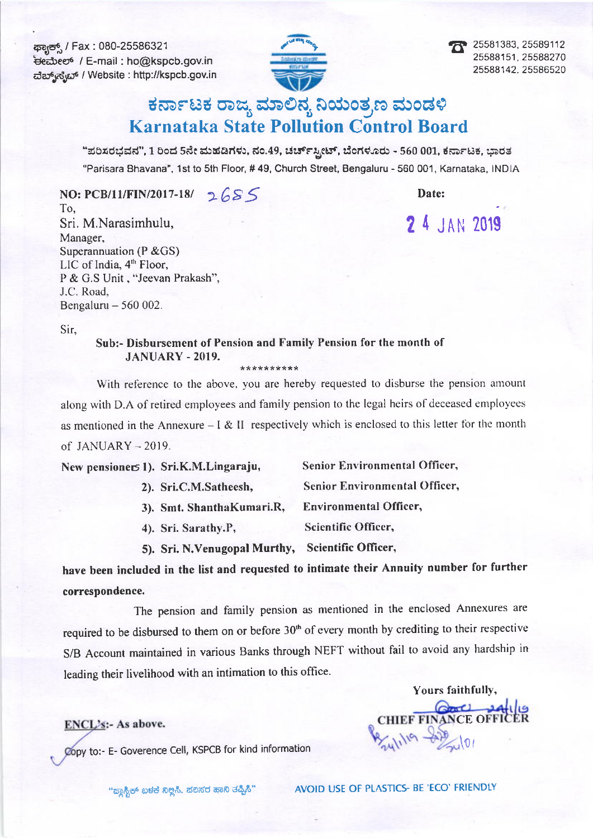ಕ್ಷ<del>ಾನ್ಸ್</del> / Fax : 080-25586321 \*Areoe /E-mail : ho@kspcb.gov.in ದೆಬ್ಸ್ಗೆಸ್ಟೆಬ್ / Website : http://kspcb.gov.in



25581383, 25589112 25588151.2558A270 25588142. 25586520

# ಕರ್ನಾಟಕ ರಾಜ್ಯ ಮಾಲಿನ್ಯ ನಿಯಂತ್ರಣ ಮಂಡಳಿ Karnataka State Pollution Control Board

"ಪರಿಸರಭವನ", 1 ರಿಂದ 5ನೇ ಮಹಡಿಗಳು, ನಂ.49, ಚರ್ಚ್ಸ್ಟೀಟ್, ಬೆಂಗಳೂರು - 560 001, ಕರ್ನಾಟಕ, ಭಾರತ "Parisara Bhavana", 1st to 5th Floor, # 49, Church Street, Bengaluru - 560 001, Karnataka, INDIA

NO: PCB/11/FIN/2017-18/  $2655$ To, Sri. M.Narasimhulu, Manager, Superannuation (P &GS) LIC of lndia, 4'h Floor, P & G.S Unit , "Jeevan Prakash", J.C. Road.

Date:

2 4 JAN 2019

Sir,

Bengaluru  $-560002$ .

# Sub:- Disbursement of Pension and Family Pension for the month of JANUARY - 2019.

\* \* \* \* \* \* \* \* \* \*

With reference to the above, you are hereby requested to disburse the pension amount along with D.A of retired employees and family pension to the legal heirs of deceased employees as mentioned in the Annexure  $-1 & 1$  II respectively which is enclosed to this letter for the month  $of$  JANUARY  $-$  2019.

| New pensioners 1). Sri.K.M.Lingaraju, | <b>Senior Environmental Officer,</b> |
|---------------------------------------|--------------------------------------|
| 2). Sri.C.M.Satheesh,                 | <b>Senior Environmental Officer,</b> |
| 3). Smt. ShanthaKumari.R,             | <b>Environmental Officer,</b>        |
| 4). Sri. Sarathy.P,                   | Scientific Officer,                  |
| 5). Sri. N. Venugopal Murthy,         | Scientific Officer,                  |

have been included in the list and requested to intimate their Annuity number for further correspondence.

The pension and famity pension as mentioned in the enclosed Annexures are required to be disbursed to them on or before 30<sup>th</sup> of every month by crediting to their respective S/B Account maintained in various Banks through NEFT without fait to avoid any hardship in leading their livelihood with an intimation to this office.

## ENCL's:- As above.

Copy to:- E- Goverence Cell, KSPCB for kind information

CHIEF FINANCE OFF Yours faithfully,

"ಹ್ಯಾಸ್ಟಿಕ್ ಬಳಕೆ ನಿಲ್ಲಿಸಿ. ಹಲಸರ ಹಾನಿ ತಪ್ಪಿಸಿ" AVOID USE OF PLASTICS- BE 'ECO' FRIENDLY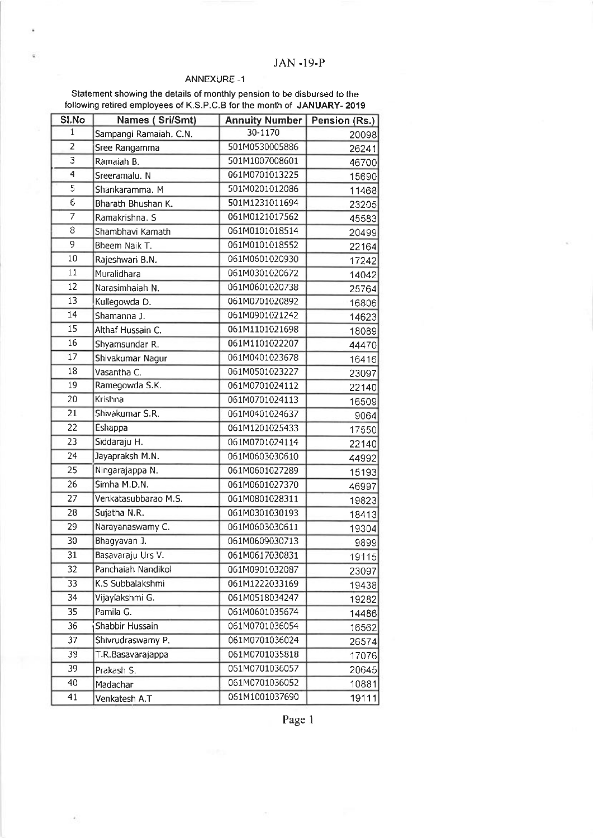#### ANNEXURE -1

Statement showing the details of monthly pension to be disbursed to the following retired employees of K.S.P.C.B for the month of JANUARY- 2019

| SI.No                     | <b>Names (Sri/Smt)</b> | <b>Annuity Number   Pension (Rs.)</b> |       |
|---------------------------|------------------------|---------------------------------------|-------|
| $\mathbf{1}$              | Sampangi Ramaiah. C.N. | 30-1170                               | 20098 |
| 2                         | Sree Rangamma          | 501M0530005886                        | 26241 |
| $\overline{\overline{3}}$ | Ramaiah B.             | 501M1007008601                        | 46700 |
| $\overline{4}$            | Sreeramalu. N          | 061M0701013225                        | 15690 |
| $\overline{5}$            | Shankaramma. M         | 501M0201012086                        | 11468 |
| $\overline{6}$            | Bharath Bhushan K.     | 501M1231011694                        | 23205 |
| 7                         | Ramakrishna. S         | 061M0121017562                        | 45583 |
| 8                         | Shambhavi Kamath       | 061M0101018514                        | 20499 |
| 9                         | Bheem Naik T.          | 061M0101018552                        | 22164 |
| 10                        | Rajeshwari B.N.        | 061M0601020930                        | 17242 |
| 11                        | Muralidhara            | 061M0301020672                        | 14042 |
| $\overline{12}$           | Narasimhaiah N.        | 061M0601020738                        | 25764 |
| 13                        | Kullegowda D.          | 061M0701020892                        | 16806 |
| 14                        | Shamanna J.            | 061M0901021242                        | 14623 |
| 15                        | Althaf Hussain C.      | 061M1101021698                        | 18089 |
| 16                        | Shyamsundar R.         | 061M1101022207                        | 44470 |
| $\overline{17}$           | Shivakumar Nagur       | 061M0401023678                        | 16416 |
| 18                        | Vasantha C.            | 061M0501023227                        | 23097 |
| 19                        | Ramegowda S.K.         | 061M0701024112                        | 22140 |
| 20                        | Krishna                | 061M0701024113                        | 16509 |
| 21                        | Shivakumar S.R.        | 061M0401024637                        | 9064  |
| 22                        | Eshappa                | 061M1201025433                        | 17550 |
| 23                        | Siddaraju H.           | 061M0701024114                        | 22140 |
| 24                        | Jayapraksh M.N.        | 061M0603030610                        | 44992 |
| 25                        | Ningarajappa N.        | 061M0601027289                        | 15193 |
| 26                        | Simha M.D.N.           | 061M0601027370                        | 46997 |
| 27                        | Venkatasubbarao M.S.   | 061M0801028311                        | 19823 |
| 28                        | Sujatha N.R.           | 061M0301030193                        | 18413 |
| 29                        | Narayanaswamy C.       | 061M0603030611                        | 19304 |
| 30                        | Bhagyavan J.           | 061M0609030713                        | 9899  |
| 31                        | Basavaraju Urs V.      | 061M0617030831                        | 19115 |
| 32                        | Panchaiah Nandikol     | 061M0901032087                        | 23097 |
| 33                        | K.S Subbalakshmi       | 061M1222033169                        | 19438 |
| 34                        | Vijaylakshmi G.        | 061M0518034247                        | 19282 |
| 35                        | Pamila G.              | 061M0601035674                        | 14486 |
| 36                        | Shabbir Hussain        | 061M0701036054                        | 16562 |
| 37                        | Shivrudraswamy P.      | 061M0701036024                        | 26574 |
| 38                        | T.R.Basavarajappa      | 061M0701035818                        | 17076 |
| 39                        | Prakash S.             | 061M0701036057                        | 20645 |
| 40                        | Madachar               | 061M0701036052                        | 10881 |
| 41                        | Venkatesh A.T          | 061M1001037690                        | 19111 |

Page 1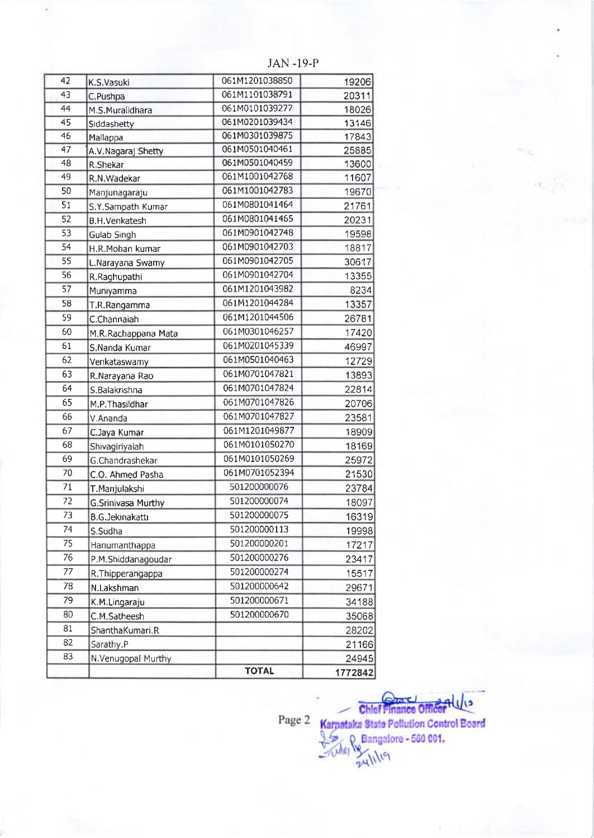| $\overline{42}$ | K,S,Vasuki                | 061M1201038850 | 19206   |
|-----------------|---------------------------|----------------|---------|
| 43              | C.Pushpa                  | 061M1101038791 | 20311   |
| 44              | M.S.Muralidhara           | 061M0101039277 | 18026   |
| $\overline{45}$ | Siddashetty               | 061M0201039434 | 13146   |
| 46              | Mallappa                  | 061M0301039875 | 17843   |
| 47              | A.V.Nagaraj Shetty        | 061M0501040461 | 25885   |
| 48              | R.Shekar                  | 061M0501040459 | 13600   |
| 49              | R.N.Wadekar               | 061M1001042768 | 11607   |
| 50              | Manjunagaraju             | 061M1001042783 | 19670   |
| 51              | S.Y.Sampath Kumar         | 061M0801041464 | 21761   |
| $\overline{52}$ | <b>B.H.Venkatesh</b>      | 061M0801041465 | 20231   |
| 53              | Gulab Singh               | 061M0901042748 | 19598   |
| $\overline{54}$ | H.R.Mohan kumar           | 061M0901042703 | 18817   |
| 55              | L.Narayana Swamy          | 061M0901042705 | 30617   |
| $\overline{56}$ | R.Raghupathi              | 061M0901042704 | 13355   |
| $\overline{57}$ | Muniyamma                 | 061M1201043982 | 8234    |
| $\overline{58}$ | T.R.Rangamma              | 061M1201044284 | 13357   |
| 59              | C.Channaiah               | 061M1201044506 | 26781   |
| 60              | M.R.Rachappana Mata       | 061M0301046257 | 17420   |
| 61              | S, Nanda Kumar            | 061M0201045339 | 46997   |
| 62              | Venkataswamy              | 061M0501040463 | 12729   |
| 63              | R.Narayana Rao            | 061M0701047821 | 13893   |
| 64              | S.Balakrishna             | 061M0701047824 | 22814   |
| 65              | M.P.Thasildhar            | 061M0701047826 | 20706   |
| 66              | V.Ananda                  | 061M0701047827 | 23581   |
| 67              | C.Jaya Kumar              | 061M1201049877 | 18909   |
| $\overline{68}$ | Shivagiriyaiah            | 061M0101050270 | 18169   |
| 69              | G.Chandrashekar           | 061M0101050269 | 25972   |
| 70              | C.O. Ahmed Pasha          | 061M0701052394 | 21530   |
| 71              | T.Manjulakshi             | 501200000076   | 23784   |
| $\overline{72}$ | <b>G.Srinivasa Murthy</b> | 501200000074   | 18097   |
| 73              | <b>B.G.Jekinakatti</b>    | 501200000075   | 16319   |
| 74              | S.Sudha                   | 501200000113   | 19998   |
| 75              | Hanumanthappa             | 501200000201   | 17217   |
| 76              | P.M.Shiddanagoudar        | 501200000276   | 23417   |
| 77              | R. Thipperangappa         | 501200000274   | 15517   |
| 78              | N.Lakshman                | 501200000642   | 29671   |
| $\overline{79}$ | K.M.Lingaraju             | 501200000671   | 34188   |
| 80              | C.M.Satheesh              | 501200000670   | 35068   |
| 81              | ShanthaKumari.R           |                | 28202   |
| 82              | Sarathy.P                 |                | 21166   |
| 83              | N.Venugopal Murthy        |                | 24945   |
|                 |                           | <b>TOTAL</b>   | 1772842 |

JAN.19-P

Page 2 Karnataka State Pollution Control Board